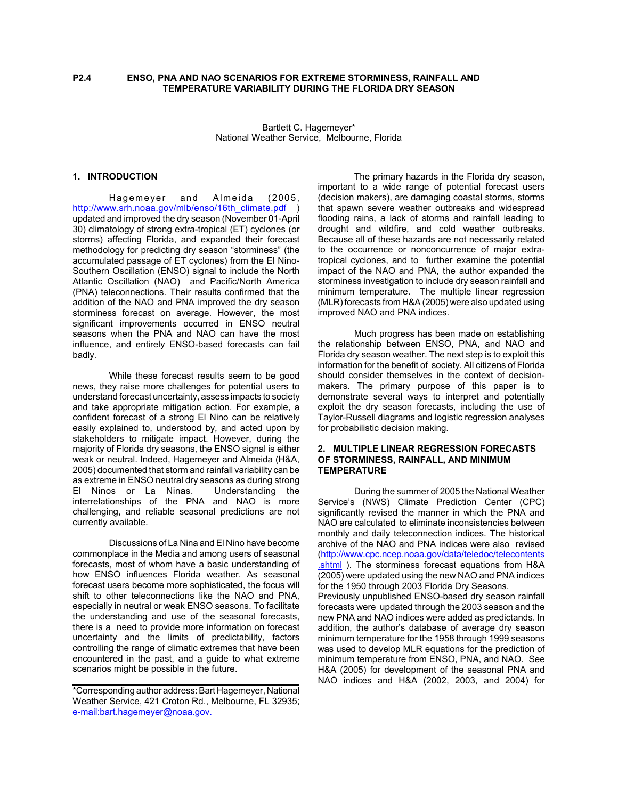# **P2.4 ENSO, PNA AND NAO SCENARIOS FOR EXTREME STORMINESS, RAINFALL AND TEMPERATURE VARIABILITY DURING THE FLORIDA DRY SEASON**

Bartlett C. Hagemeyer\* National Weather Service, Melbourne, Florida

# **1. INTRODUCTION**

Hagemeyer and Almeida (2005, http://www.srh.noaa.gov/mlb/enso/16th\_climate.pdf ) updated and improved the dry season (November 01-April 30) climatology of strong extra-tropical (ET) cyclones (or storms) affecting Florida, and expanded their forecast methodology for predicting dry season "storminess" (the accumulated passage of ET cyclones) from the El Nino-Southern Oscillation (ENSO) signal to include the North Atlantic Oscillation (NAO) and Pacific/North America (PNA) teleconnections. Their results confirmed that the addition of the NAO and PNA improved the dry season storminess forecast on average. However, the most significant improvements occurred in ENSO neutral seasons when the PNA and NAO can have the most influence, and entirely ENSO-based forecasts can fail badly.

While these forecast results seem to be good news, they raise more challenges for potential users to understand forecast uncertainty, assess impacts to society and take appropriate mitigation action. For example, a confident forecast of a strong El Nino can be relatively easily explained to, understood by, and acted upon by stakeholders to mitigate impact. However, during the majority of Florida dry seasons, the ENSO signal is either weak or neutral. Indeed, Hagemeyer and Almeida (H&A, 2005) documented that storm and rainfall variability can be as extreme in ENSO neutral dry seasons as during strong<br>El Ninos or La Ninas. Understanding the El Ninos or La Ninas. interrelationships of the PNA and NAO is more challenging, and reliable seasonal predictions are not currently available.

Discussions of La Nina and El Nino have become commonplace in the Media and among users of seasonal forecasts, most of whom have a basic understanding of how ENSO influences Florida weather. As seasonal forecast users become more sophisticated, the focus will shift to other teleconnections like the NAO and PNA, especially in neutral or weak ENSO seasons. To facilitate the understanding and use of the seasonal forecasts, there is a need to provide more information on forecast uncertainty and the limits of predictability, factors controlling the range of climatic extremes that have been encountered in the past, and a guide to what extreme scenarios might be possible in the future.

The primary hazards in the Florida dry season, important to a wide range of potential forecast users (decision makers), are damaging coastal storms, storms that spawn severe weather outbreaks and widespread flooding rains, a lack of storms and rainfall leading to drought and wildfire, and cold weather outbreaks. Because all of these hazards are not necessarily related to the occurrence or nonconcurrence of major extratropical cyclones, and to further examine the potential impact of the NAO and PNA, the author expanded the storminess investigation to include dry season rainfall and minimum temperature. The multiple linear regression (MLR) forecasts from H&A (2005) were also updated using improved NAO and PNA indices.

Much progress has been made on establishing the relationship between ENSO, PNA, and NAO and Florida dry season weather. The next step is to exploit this information for the benefit of society. All citizens of Florida should consider themselves in the context of decisionmakers. The primary purpose of this paper is to demonstrate several ways to interpret and potentially exploit the dry season forecasts, including the use of Taylor-Russell diagrams and logistic regression analyses for probabilistic decision making.

## **2. MULTIPLE LINEAR REGRESSION FORECASTS OF STORMINESS, RAINFALL, AND MINIMUM TEMPERATURE**

During the summer of 2005 the National Weather Service's (NWS) Climate Prediction Center (CPC) significantly revised the manner in which the PNA and NAO are calculated to eliminate inconsistencies between monthly and daily teleconnection indices. The historical archive of the NAO and PNA indices were also revised (http://www.cpc.ncep.noaa.gov/data/teledoc/telecontents .shtml ). The storminess forecast equations from H&A (2005) were updated using the new NAO and PNA indices for the 1950 through 2003 Florida Dry Seasons. Previously unpublished ENSO-based dry season rainfall forecasts were updated through the 2003 season and the new PNA and NAO indices were added as predictands. In addition, the author's database of average dry season minimum temperature for the 1958 through 1999 seasons was used to develop MLR equations for the prediction of

minimum temperature from ENSO, PNA, and NAO. See H&A (2005) for development of the seasonal PNA and NAO indices and H&A (2002, 2003, and 2004) for

<sup>\*</sup>Corresponding author address: Bart Hagemeyer, National Weather Service, 421 Croton Rd., Melbourne, FL 32935; e-mail:bart.hagemeyer@noaa.gov.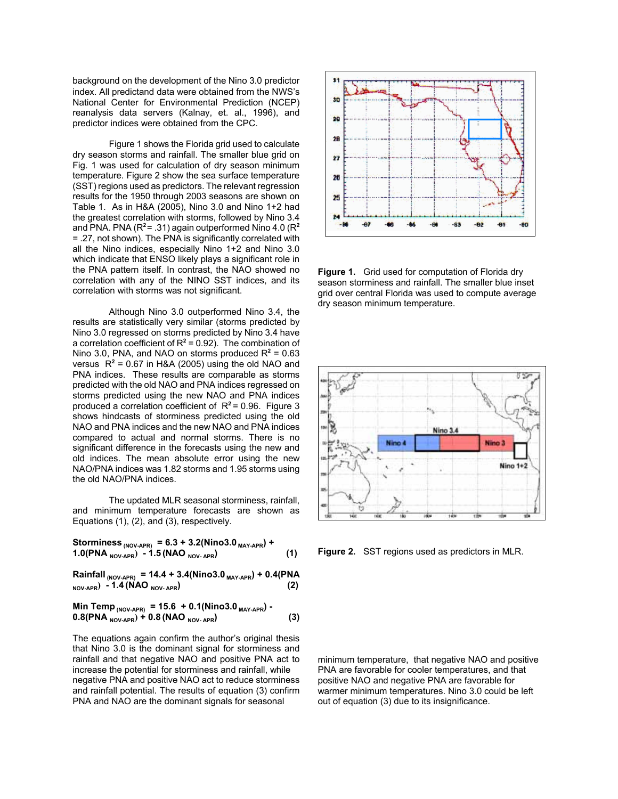background on the development of the Nino 3.0 predictor index. All predictand data were obtained from the NWS's National Center for Environmental Prediction (NCEP) reanalysis data servers (Kalnay, et. al., 1996), and predictor indices were obtained from the CPC.

Figure 1 shows the Florida grid used to calculate dry season storms and rainfall. The smaller blue grid on Fig. 1 was used for calculation of dry season minimum temperature. Figure 2 show the sea surface temperature (SST) regions used as predictors. The relevant regression results for the 1950 through 2003 seasons are shown on Table 1. As in H&A (2005), Nino 3.0 and Nino 1+2 had the greatest correlation with storms, followed by Nino 3.4 and PNA. PNA (R**<sup>2</sup>**= .31) again outperformed Nino 4.0 (R**<sup>2</sup>** = .27, not shown). The PNA is significantly correlated with all the Nino indices, especially Nino 1+2 and Nino 3.0 which indicate that ENSO likely plays a significant role in the PNA pattern itself. In contrast, the NAO showed no correlation with any of the NINO SST indices, and its correlation with storms was not significant.

Although Nino 3.0 outperformed Nino 3.4, the results are statistically very similar (storms predicted by Nino 3.0 regressed on storms predicted by Nino 3.4 have a correlation coefficient of  $R^2$  = 0.92). The combination of Nino 3.0, PNA, and NAO on storms produced  $R^2 = 0.63$ versus  $R^2$  = 0.67 in H&A (2005) using the old NAO and PNA indices. These results are comparable as storms predicted with the old NAO and PNA indices regressed on storms predicted using the new NAO and PNA indices produced a correlation coefficient of R**<sup>2</sup>**= 0.96. Figure 3 shows hindcasts of storminess predicted using the old NAO and PNA indices and the new NAO and PNA indices compared to actual and normal storms. There is no significant difference in the forecasts using the new and old indices. The mean absolute error using the new NAO/PNA indices was 1.82 storms and 1.95 storms using the old NAO/PNA indices.

The updated MLR seasonal storminess, rainfall, and minimum temperature forecasts are shown as Equations (1), (2), and (3), respectively.

**Storminess (NOV-APR) = 6.3 + 3.2(Nino3.0 MAY-APR) + 1.0(PNA NOV-APR) - 1.5 (NAO NOV- APR) (1)**

 $Rainfall_{(NOV-APR)} = 14.4 + 3.4(Nino3.0_{MAX-APR}) + 0.4(PNA)$  $N_{\text{NUV-APR}}$  **- 1.4 (NAO**  $N_{\text{OU-APR}}$  (2)

**Min Temp (NOV-APR) = 15.6 + 0.1(Nino3.0 MAY-APR) - 0.8(PNA NOV-APR) + 0.8 (NAO NOV- APR) (3)**

The equations again confirm the author's original thesis that Nino 3.0 is the dominant signal for storminess and rainfall and that negative NAO and positive PNA act to increase the potential for storminess and rainfall, while negative PNA and positive NAO act to reduce storminess and rainfall potential. The results of equation (3) confirm PNA and NAO are the dominant signals for seasonal



**Figure 1.** Grid used for computation of Florida dry season storminess and rainfall. The smaller blue inset grid over central Florida was used to compute average dry season minimum temperature.



**Figure 2.** SST regions used as predictors in MLR.

minimum temperature, that negative NAO and positive PNA are favorable for cooler temperatures, and that positive NAO and negative PNA are favorable for warmer minimum temperatures. Nino 3.0 could be left out of equation (3) due to its insignificance.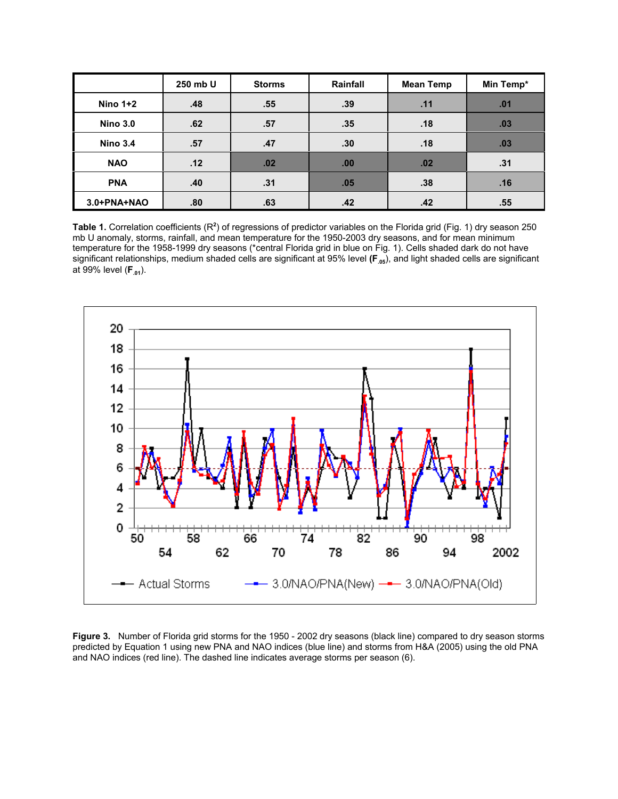|                 | 250 mb U | <b>Storms</b> | Rainfall | <b>Mean Temp</b> | Min Temp* |
|-----------------|----------|---------------|----------|------------------|-----------|
| Nino $1+2$      | .48      | .55           | .39      | .11              | .01       |
| <b>Nino 3.0</b> | .62      | .57           | .35      | .18              | .03       |
| <b>Nino 3.4</b> | .57      | .47           | .30      | .18              | .03       |
| <b>NAO</b>      | .12      | .02           | .00      | .02              | .31       |
| <b>PNA</b>      | .40      | .31           | .05      | .38              | .16       |
| 3.0+PNA+NAO     | .80      | .63           | .42      | .42              | .55       |

Table 1. Correlation coefficients (R<sup>2</sup>) of regressions of predictor variables on the Florida grid (Fig. 1) dry season 250 mb U anomaly, storms, rainfall, and mean temperature for the 1950-2003 dry seasons, and for mean minimum temperature for the 1958-1999 dry seasons (\*central Florida grid in blue on Fig. 1). Cells shaded dark do not have significant relationships, medium shaded cells are significant at 95% level (F<sub>05</sub>), and light shaded cells are significant at 99% level (**F.01**).



**Figure 3.** Number of Florida grid storms for the 1950 - 2002 dry seasons (black line) compared to dry season storms predicted by Equation 1 using new PNA and NAO indices (blue line) and storms from H&A (2005) using the old PNA and NAO indices (red line). The dashed line indicates average storms per season (6).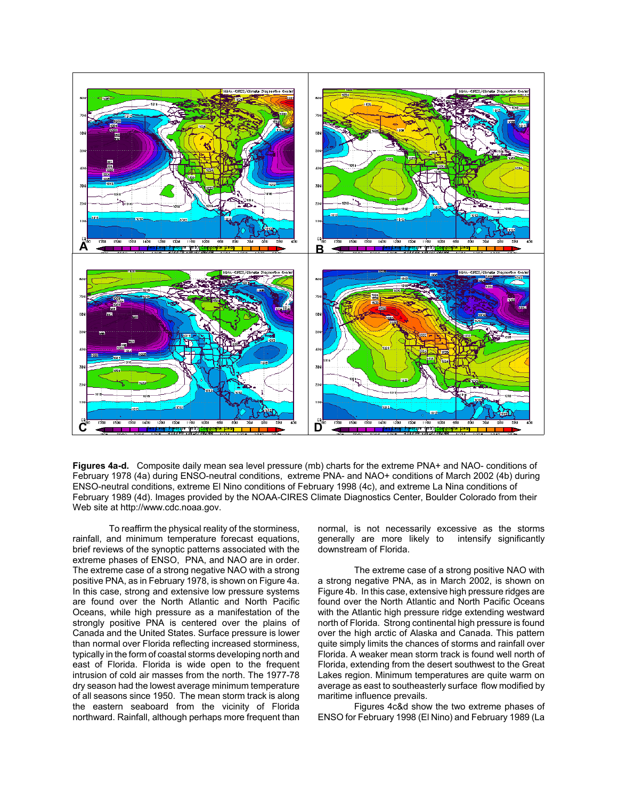

**Figures 4a-d.** Composite daily mean sea level pressure (mb) charts for the extreme PNA+ and NAO- conditions of February 1978 (4a) during ENSO-neutral conditions, extreme PNA- and NAO+ conditions of March 2002 (4b) during ENSO-neutral conditions, extreme El Nino conditions of February 1998 (4c), and extreme La Nina conditions of February 1989 (4d). Images provided by the NOAA-CIRES Climate Diagnostics Center, Boulder Colorado from their Web site at http://www.cdc.noaa.gov.

To reaffirm the physical reality of the storminess, rainfall, and minimum temperature forecast equations, brief reviews of the synoptic patterns associated with the extreme phases of ENSO, PNA, and NAO are in order. The extreme case of a strong negative NAO with a strong positive PNA, as in February 1978, is shown on Figure 4a. In this case, strong and extensive low pressure systems are found over the North Atlantic and North Pacific Oceans, while high pressure as a manifestation of the strongly positive PNA is centered over the plains of Canada and the United States. Surface pressure is lower than normal over Florida reflecting increased storminess, typically in the form of coastal storms developing north and east of Florida. Florida is wide open to the frequent intrusion of cold air masses from the north. The 1977-78 dry season had the lowest average minimum temperature of all seasons since 1950. The mean storm track is along the eastern seaboard from the vicinity of Florida northward. Rainfall, although perhaps more frequent than normal, is not necessarily excessive as the storms generally are more likely to intensify significantly downstream of Florida.

The extreme case of a strong positive NAO with a strong negative PNA, as in March 2002, is shown on Figure 4b. In this case, extensive high pressure ridges are found over the North Atlantic and North Pacific Oceans with the Atlantic high pressure ridge extending westward north of Florida. Strong continental high pressure is found over the high arctic of Alaska and Canada. This pattern quite simply limits the chances of storms and rainfall over Florida. A weaker mean storm track is found well north of Florida, extending from the desert southwest to the Great Lakes region. Minimum temperatures are quite warm on average as east to southeasterly surface flow modified by maritime influence prevails.

Figures 4c&d show the two extreme phases of ENSO for February 1998 (El Nino) and February 1989 (La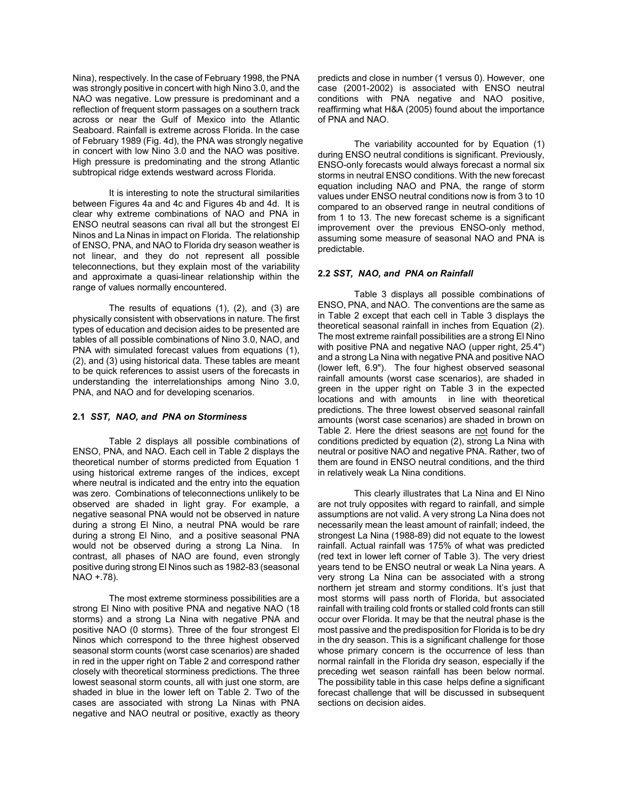Nina), respectively. In the case of February 1998, the PNA was strongly positive in concert with high Nino 3.0, and the NAO was negative. Low pressure is predominant and a reflection of frequent storm passages on a southern track across or near the Gulf of Mexico into the Atlantic Seaboard. Rainfall is extreme across Florida. In the case of February 1989 (Fig. 4d), the PNA was strongly negative in concert with low Nino 3.0 and the NAO was positive. High pressure is predominating and the strong Atlantic subtropical ridge extends westward across Florida.

It is interesting to note the structural similarities between Figures 4a and 4c and Figures 4b and 4d. It is clear why extreme combinations of NAO and PNA in ENSO neutral seasons can rival all but the strongest El Ninos and La Ninas in impact on Florida. The relationship of ENSO, PNA, and NAO to Florida dry season weather is not linear, and they do not represent all possible teleconnections, but they explain most of the variability and approximate a quasi-linear relationship within the range of values normally encountered.

The results of equations (1), (2), and (3) are physically consistent with observations in nature. The first types of education and decision aides to be presented are tables of all possible combinations of Nino 3.0, NAO, and PNA with simulated forecast values from equations (1), (2), and (3) using historical data. These tables are meant to be quick references to assist users of the forecasts in understanding the interrelationships among Nino 3.0, PNA, and NAO and for developing scenarios.

### **2.1** *SST, NAO, and PNA on Storminess*

Table 2 displays all possible combinations of ENSO, PNA, and NAO. Each cell in Table 2 displays the theoretical number of storms predicted from Equation 1 using historical extreme ranges of the indices, except where neutral is indicated and the entry into the equation was zero. Combinations of teleconnections unlikely to be observed are shaded in light gray. For example, a negative seasonal PNA would not be observed in nature during a strong El Nino, a neutral PNA would be rare during a strong El Nino, and a positive seasonal PNA would not be observed during a strong La Nina. In contrast, all phases of NAO are found, even strongly positive during strong El Ninos such as 1982-83 (seasonal NAO +.78).

The most extreme storminess possibilities are a strong El Nino with positive PNA and negative NAO (18 storms) and a strong La Nina with negative PNA and positive NAO (0 storms). Three of the four strongest El Ninos which correspond to the three highest observed seasonal storm counts (worst case scenarios) are shaded in red in the upper right on Table 2 and correspond rather closely with theoretical storminess predictions. The three lowest seasonal storm counts, all with just one storm, are shaded in blue in the lower left on Table 2. Two of the cases are associated with strong La Ninas with PNA negative and NAO neutral or positive, exactly as theory

predicts and close in number (1 versus 0). However, one case (2001-2002) is associated with ENSO neutral conditions with PNA negative and NAO positive, reaffirming what H&A (2005) found about the importance of PNA and NAO.

The variability accounted for by Equation (1) during ENSO neutral conditions is significant. Previously, ENSO-only forecasts would always forecast a normal six storms in neutral ENSO conditions. With the new forecast equation including NAO and PNA, the range of storm values under ENSO neutral conditions now is from 3 to 10 compared to an observed range in neutral conditions of from 1 to 13. The new forecast scheme is a significant improvement over the previous ENSO-only method, assuming some measure of seasonal NAO and PNA is predictable.

## **2.2** *SST, NAO, and PNA on Rainfall*

Table 3 displays all possible combinations of ENSO, PNA, and NAO. The conventions are the same as in Table 2 except that each cell in Table 3 displays the theoretical seasonal rainfall in inches from Equation (2). The most extreme rainfall possibilities are a strong El Nino with positive PNA and negative NAO (upper right, 25.4") and a strong La Nina with negative PNA and positive NAO (lower left, 6.9"). The four highest observed seasonal rainfall amounts (worst case scenarios), are shaded in green in the upper right on Table 3 in the expected locations and with amounts in line with theoretical predictions. The three lowest observed seasonal rainfall amounts (worst case scenarios) are shaded in brown on Table 2. Here the driest seasons are not found for the conditions predicted by equation (2), strong La Nina with neutral or positive NAO and negative PNA. Rather, two of them are found in ENSO neutral conditions, and the third in relatively weak La Nina conditions.

This clearly illustrates that La Nina and El Nino are not truly opposites with regard to rainfall, and simple assumptions are not valid. A very strong La Nina does not necessarily mean the least amount of rainfall; indeed, the strongest La Nina (1988-89) did not equate to the lowest rainfall. Actual rainfall was 175% of what was predicted (red text in lower left corner of Table 3). The very driest years tend to be ENSO neutral or weak La Nina years. A very strong La Nina can be associated with a strong northern jet stream and stormy conditions. It's just that most storms will pass north of Florida, but associated rainfall with trailing cold fronts or stalled cold fronts can still occur over Florida. It may be that the neutral phase is the most passive and the predisposition for Florida is to be dry in the dry season. This is a significant challenge for those whose primary concern is the occurrence of less than normal rainfall in the Florida dry season, especially if the preceding wet season rainfall has been below normal. The possibility table in this case helps define a significant forecast challenge that will be discussed in subsequent sections on decision aides.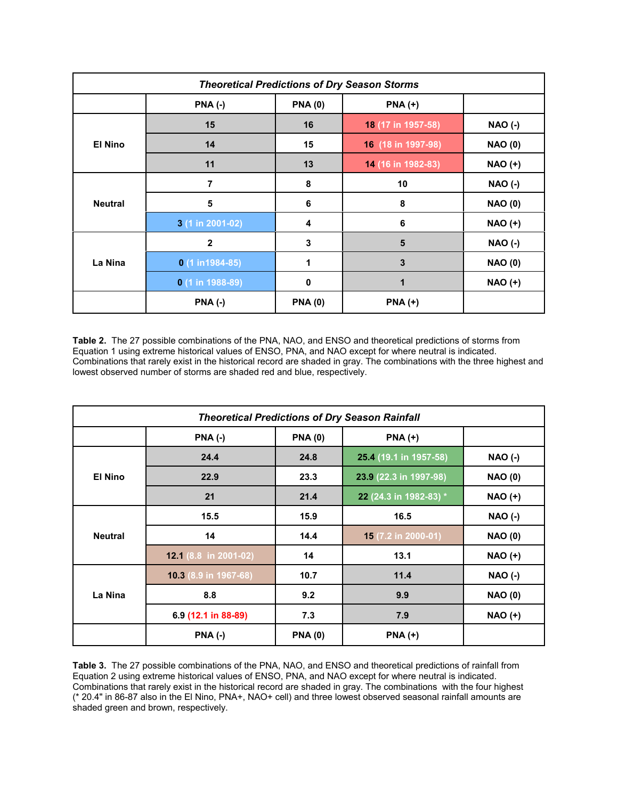| <b>Theoretical Predictions of Dry Season Storms</b> |                   |               |                    |                |  |
|-----------------------------------------------------|-------------------|---------------|--------------------|----------------|--|
|                                                     | <b>PNA (-)</b>    | <b>PNA(0)</b> | $PNA (+)$          |                |  |
| <b>El Nino</b>                                      | 15                | 16            | 18 (17 in 1957-58) | <b>NAO (-)</b> |  |
|                                                     | 14                | 15            | 16 (18 in 1997-98) | <b>NAO (0)</b> |  |
|                                                     | 11                | 13            | 14 (16 in 1982-83) | <b>NAO (+)</b> |  |
| <b>Neutral</b>                                      | $\overline{7}$    | 8             | 10                 | <b>NAO (-)</b> |  |
|                                                     | 5                 | 6             | 8                  | <b>NAO (0)</b> |  |
|                                                     | 3 (1 in 2001-02)  | 4             | 6                  | <b>NAO (+)</b> |  |
| La Nina                                             | $\mathbf{2}$      | 3             | 5                  | <b>NAO (-)</b> |  |
|                                                     | $0(1 in 1984-85)$ |               | $\mathbf{3}$       | <b>NAO (0)</b> |  |
|                                                     | $0(1 in 1988-89)$ | $\mathbf 0$   | 1                  | <b>NAO (+)</b> |  |
|                                                     | <b>PNA (-)</b>    | <b>PNA(0)</b> | $PNA (+)$          |                |  |

**Table 2.** The 27 possible combinations of the PNA, NAO, and ENSO and theoretical predictions of storms from Equation 1 using extreme historical values of ENSO, PNA, and NAO except for where neutral is indicated. Combinations that rarely exist in the historical record are shaded in gray. The combinations with the three highest and lowest observed number of storms are shaded red and blue, respectively.

| <b>Theoretical Predictions of Dry Season Rainfall</b> |                       |                |                        |                |  |
|-------------------------------------------------------|-----------------------|----------------|------------------------|----------------|--|
|                                                       | $PNA$ (-)             | <b>PNA(0)</b>  | $PNA (+)$              |                |  |
| <b>El Nino</b>                                        | 24.4                  | 24.8           | 25.4 (19.1 in 1957-58) | <b>NAO (-)</b> |  |
|                                                       | 22.9                  | 23.3           | 23.9 (22.3 in 1997-98) | <b>NAO (0)</b> |  |
|                                                       | 21                    | 21.4           | 22 (24.3 in 1982-83) * | <b>NAO (+)</b> |  |
| <b>Neutral</b>                                        | 15.5                  | 15.9           | 16.5                   | <b>NAO (-)</b> |  |
|                                                       | 14                    | 14.4           | 15 (7.2 in 2000-01)    | <b>NAO (0)</b> |  |
|                                                       | 12.1 (8.8 in 2001-02) | 14             | 13.1                   | $NAO (+)$      |  |
| La Nina                                               | 10.3 (8.9 in 1967-68) | 10.7           | 11.4                   | <b>NAO (-)</b> |  |
|                                                       | 8.8                   | 9.2            | 9.9                    | <b>NAO (0)</b> |  |
|                                                       | 6.9 (12.1 in 88-89)   | 7.3            | 7.9                    | <b>NAO (+)</b> |  |
|                                                       | <b>PNA (-)</b>        | <b>PNA (0)</b> | $PNA (+)$              |                |  |

**Table 3.** The 27 possible combinations of the PNA, NAO, and ENSO and theoretical predictions of rainfall from Equation 2 using extreme historical values of ENSO, PNA, and NAO except for where neutral is indicated. Combinations that rarely exist in the historical record are shaded in gray. The combinations with the four highest (\* 20.4" in 86-87 also in the El Nino, PNA+, NAO+ cell) and three lowest observed seasonal rainfall amounts are shaded green and brown, respectively.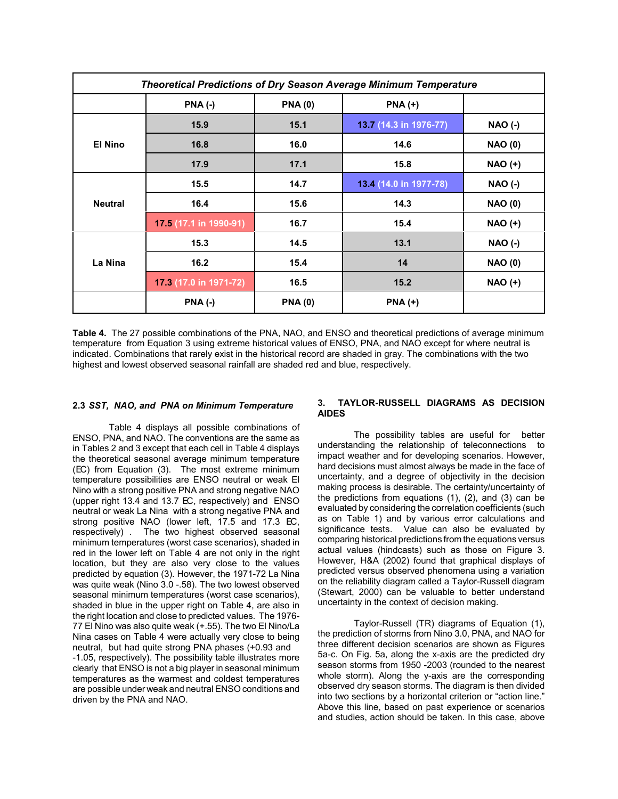| <b>Theoretical Predictions of Dry Season Average Minimum Temperature</b> |                        |                |                        |                |
|--------------------------------------------------------------------------|------------------------|----------------|------------------------|----------------|
|                                                                          | $PNA$ $(-)$            | <b>PNA(0)</b>  | $PNA (+)$              |                |
| El Nino                                                                  | 15.9                   | 15.1           | 13.7 (14.3 in 1976-77) | <b>NAO (-)</b> |
|                                                                          | 16.8                   | 16.0           | 14.6                   | <b>NAO (0)</b> |
|                                                                          | 17.9                   | 17.1           | 15.8                   | <b>NAO (+)</b> |
| <b>Neutral</b>                                                           | 15.5                   | 14.7           | 13.4 (14.0 in 1977-78) | <b>NAO (-)</b> |
|                                                                          | 16.4                   | 15.6           | 14.3                   | <b>NAO (0)</b> |
|                                                                          | 17.5 (17.1 in 1990-91) | 16.7           | 15.4                   | <b>NAO (+)</b> |
| La Nina                                                                  | 15.3                   | 14.5           | 13.1                   | <b>NAO (-)</b> |
|                                                                          | 16.2                   | 15.4           | 14                     | <b>NAO (0)</b> |
|                                                                          | 17.3 (17.0 in 1971-72) | 16.5           | 15.2                   | <b>NAO (+)</b> |
|                                                                          | $PNA$ (-)              | <b>PNA (0)</b> | $PNA (+)$              |                |

**Table 4.** The 27 possible combinations of the PNA, NAO, and ENSO and theoretical predictions of average minimum temperature from Equation 3 using extreme historical values of ENSO, PNA, and NAO except for where neutral is indicated. Combinations that rarely exist in the historical record are shaded in gray. The combinations with the two highest and lowest observed seasonal rainfall are shaded red and blue, respectively.

# **2.3** *SST, NAO, and PNA on Minimum Temperature*

Table 4 displays all possible combinations of ENSO, PNA, and NAO. The conventions are the same as in Tables 2 and 3 except that each cell in Table 4 displays the theoretical seasonal average minimum temperature (EC) from Equation (3). The most extreme minimum temperature possibilities are ENSO neutral or weak El Nino with a strong positive PNA and strong negative NAO (upper right 13.4 and 13.7 EC, respectively) and ENSO neutral or weak La Nina with a strong negative PNA and strong positive NAO (lower left, 17.5 and 17.3 EC, respectively) . The two highest observed seasonal minimum temperatures (worst case scenarios), shaded in red in the lower left on Table 4 are not only in the right location, but they are also very close to the values predicted by equation (3). However, the 1971-72 La Nina was quite weak (Nino 3.0 -.58). The two lowest observed seasonal minimum temperatures (worst case scenarios), shaded in blue in the upper right on Table 4, are also in the right location and close to predicted values. The 1976- 77 El Nino was also quite weak (+.55). The two El Nino/La Nina cases on Table 4 were actually very close to being neutral, but had quite strong PNA phases (+0.93 and -1.05, respectively). The possibility table illustrates more clearly that ENSO is not a big player in seasonal minimum temperatures as the warmest and coldest temperatures are possible under weak and neutral ENSO conditions and driven by the PNA and NAO.

## **3. TAYLOR-RUSSELL DIAGRAMS AS DECISION AIDES**

The possibility tables are useful for better understanding the relationship of teleconnections to impact weather and for developing scenarios. However, hard decisions must almost always be made in the face of uncertainty, and a degree of objectivity in the decision making process is desirable. The certainty/uncertainty of the predictions from equations (1), (2), and (3) can be evaluated by considering the correlation coefficients (such as on Table 1) and by various error calculations and significance tests. Value can also be evaluated by comparing historical predictions from the equations versus actual values (hindcasts) such as those on Figure 3. However, H&A (2002) found that graphical displays of predicted versus observed phenomena using a variation on the reliability diagram called a Taylor-Russell diagram (Stewart, 2000) can be valuable to better understand uncertainty in the context of decision making.

Taylor-Russell (TR) diagrams of Equation (1), the prediction of storms from Nino 3.0, PNA, and NAO for three different decision scenarios are shown as Figures 5a-c. On Fig. 5a, along the x-axis are the predicted dry season storms from 1950 -2003 (rounded to the nearest whole storm). Along the y-axis are the corresponding observed dry season storms. The diagram is then divided into two sections by a horizontal criterion or "action line." Above this line, based on past experience or scenarios and studies, action should be taken. In this case, above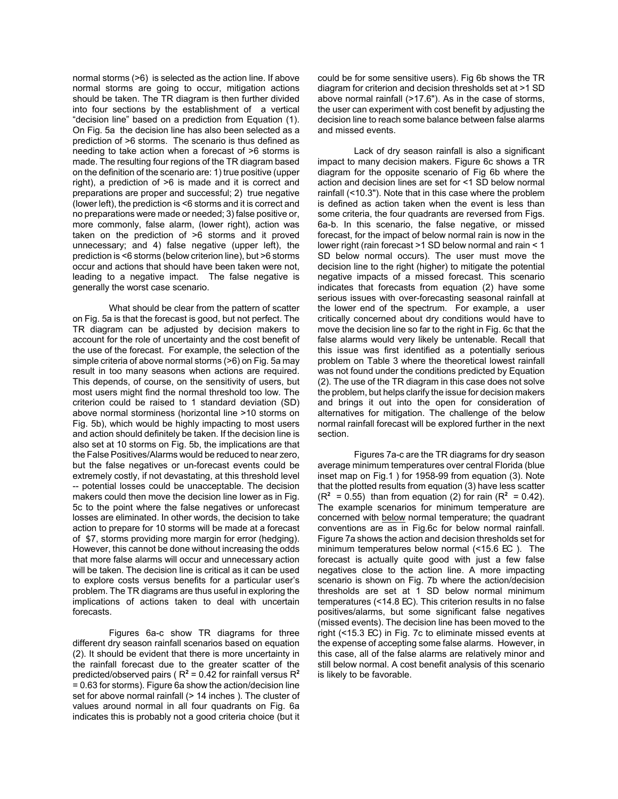normal storms (>6) is selected as the action line. If above normal storms are going to occur, mitigation actions should be taken. The TR diagram is then further divided into four sections by the establishment of a vertical "decision line" based on a prediction from Equation (1). On Fig. 5a the decision line has also been selected as a prediction of >6 storms. The scenario is thus defined as needing to take action when a forecast of >6 storms is made. The resulting four regions of the TR diagram based on the definition of the scenario are: 1) true positive (upper right), a prediction of >6 is made and it is correct and preparations are proper and successful; 2) true negative (lower left), the prediction is <6 storms and it is correct and no preparations were made or needed; 3) false positive or, more commonly, false alarm, (lower right), action was taken on the prediction of >6 storms and it proved unnecessary; and 4) false negative (upper left), the prediction is <6 storms (below criterion line), but >6 storms occur and actions that should have been taken were not, leading to a negative impact. The false negative is generally the worst case scenario.

What should be clear from the pattern of scatter on Fig. 5a is that the forecast is good, but not perfect. The TR diagram can be adjusted by decision makers to account for the role of uncertainty and the cost benefit of the use of the forecast. For example, the selection of the simple criteria of above normal storms (>6) on Fig. 5a may result in too many seasons when actions are required. This depends, of course, on the sensitivity of users, but most users might find the normal threshold too low. The criterion could be raised to 1 standard deviation (SD) above normal storminess (horizontal line >10 storms on Fig. 5b), which would be highly impacting to most users and action should definitely be taken. If the decision line is also set at 10 storms on Fig. 5b, the implications are that the False Positives/Alarms would be reduced to near zero, but the false negatives or un-forecast events could be extremely costly, if not devastating, at this threshold level -- potential losses could be unacceptable. The decision makers could then move the decision line lower as in Fig. 5c to the point where the false negatives or unforecast losses are eliminated. In other words, the decision to take action to prepare for 10 storms will be made at a forecast of \$7, storms providing more margin for error (hedging). However, this cannot be done without increasing the odds that more false alarms will occur and unnecessary action will be taken. The decision line is critical as it can be used to explore costs versus benefits for a particular user's problem. The TR diagrams are thus useful in exploring the implications of actions taken to deal with uncertain forecasts.

Figures 6a-c show TR diagrams for three different dry season rainfall scenarios based on equation (2). It should be evident that there is more uncertainty in the rainfall forecast due to the greater scatter of the predicted/observed pairs ( $R^2$  = 0.42 for rainfall versus  $R^2$ = 0.63 for storms). Figure 6a show the action/decision line set for above normal rainfall (> 14 inches). The cluster of values around normal in all four quadrants on Fig. 6a indicates this is probably not a good criteria choice (but it could be for some sensitive users). Fig 6b shows the TR diagram for criterion and decision thresholds set at >1 SD above normal rainfall (>17.6"). As in the case of storms, the user can experiment with cost benefit by adjusting the decision line to reach some balance between false alarms and missed events.

Lack of dry season rainfall is also a significant impact to many decision makers. Figure 6c shows a TR diagram for the opposite scenario of Fig 6b where the action and decision lines are set for <1 SD below normal rainfall (<10.3"). Note that in this case where the problem is defined as action taken when the event is less than some criteria, the four quadrants are reversed from Figs. 6a-b. In this scenario, the false negative, or missed forecast, for the impact of below normal rain is now in the lower right (rain forecast >1 SD below normal and rain < 1 SD below normal occurs). The user must move the decision line to the right (higher) to mitigate the potential negative impacts of a missed forecast. This scenario indicates that forecasts from equation (2) have some serious issues with over-forecasting seasonal rainfall at the lower end of the spectrum. For example, a user critically concerned about dry conditions would have to move the decision line so far to the right in Fig. 6c that the false alarms would very likely be untenable. Recall that this issue was first identified as a potentially serious problem on Table 3 where the theoretical lowest rainfall was not found under the conditions predicted by Equation (2). The use of the TR diagram in this case does not solve the problem, but helps clarify the issue for decision makers and brings it out into the open for consideration of alternatives for mitigation. The challenge of the below normal rainfall forecast will be explored further in the next section.

Figures 7a-c are the TR diagrams for dry season average minimum temperatures over central Florida (blue inset map on Fig.1 ) for 1958-99 from equation (3). Note that the plotted results from equation (3) have less scatter  $(R^2 = 0.55)$  than from equation (2) for rain ( $R^2 = 0.42$ ). The example scenarios for minimum temperature are concerned with below normal temperature; the quadrant conventions are as in Fig.6c for below normal rainfall. Figure 7a shows the action and decision thresholds set for minimum temperatures below normal (<15.6 EC ). The forecast is actually quite good with just a few false negatives close to the action line. A more impacting scenario is shown on Fig. 7b where the action/decision thresholds are set at 1 SD below normal minimum temperatures (<14.8 EC). This criterion results in no false positives/alarms, but some significant false negatives (missed events). The decision line has been moved to the right (<15.3 EC) in Fig. 7c to eliminate missed events at the expense of accepting some false alarms. However, in this case, all of the false alarms are relatively minor and still below normal. A cost benefit analysis of this scenario is likely to be favorable.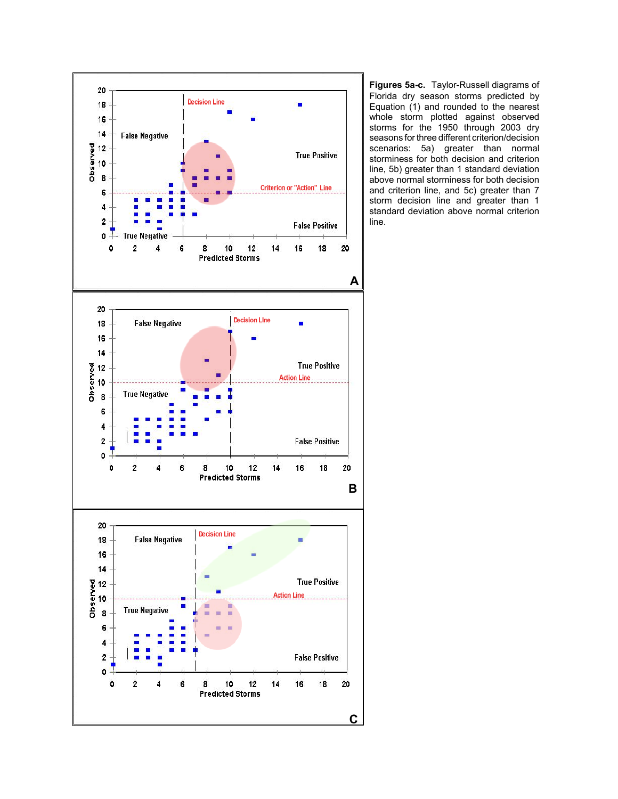

**Figures 5a-c.** Taylor-Russell diagrams of Florida dry season storms predicted by Equation (1) and rounded to the nearest whole storm plotted against observed storms for the 1950 through 2003 dry seasons for three different criterion/decision scenarios: 5a) greater than normal storminess for both decision and criterion line, 5b) greater than 1 standard deviation above normal storminess for both decision and criterion line, and 5c) greater than 7 storm decision line and greater than 1 standard deviation above normal criterion line.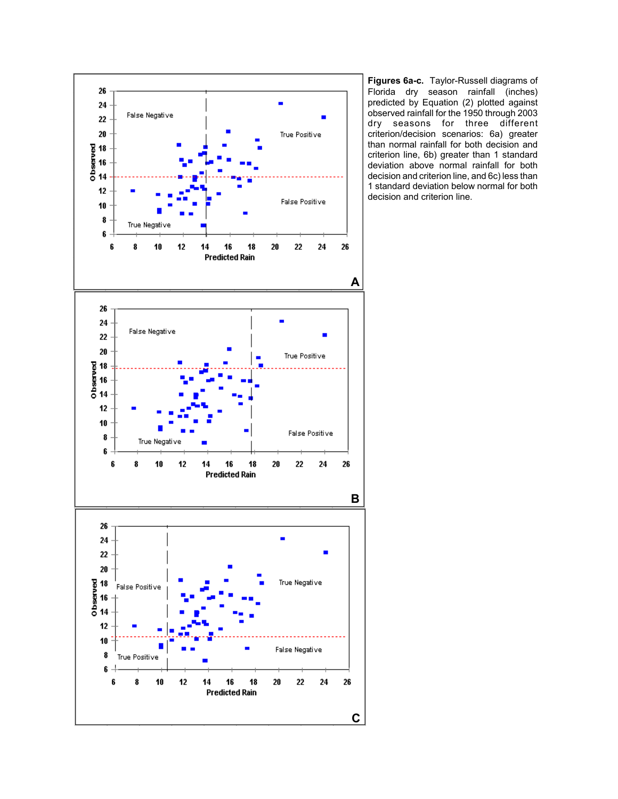

**Figures 6a-c.** Taylor-Russell diagrams of Florida dry season rainfall (inches) predicted by Equation (2) plotted against observed rainfall for the 1950 through 2003 dry seasons for three different criterion/decision scenarios: 6a) greater than normal rainfall for both decision and criterion line, 6b) greater than 1 standard deviation above normal rainfall for both decision and criterion line, and 6c) less than 1 standard deviation below normal for both decision and criterion line.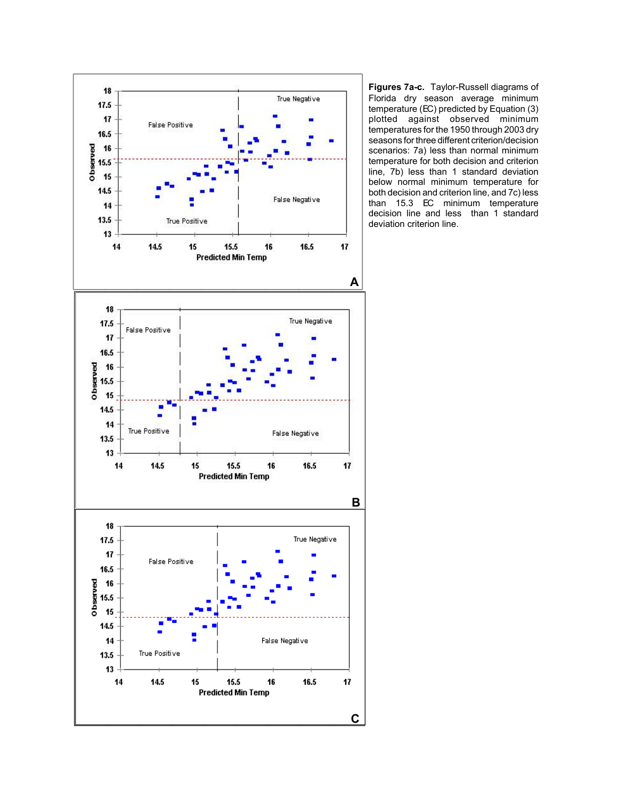

**Figures 7a-c.** Taylor-Russell diagrams of Florida dry season average minimum temperature (EC) predicted by Equation (3) plotted against observed minimum temperatures for the 1950 through 2003 dry seasons for three different criterion/decision scenarios: 7a) less than normal minimum temperature for both decision and criterion line, 7b) less than 1 standard deviation below normal minimum temperature for both decision and criterion line, and 7c) less than 15.3 EC minimum temperature decision line and less than 1 standard deviation criterion line.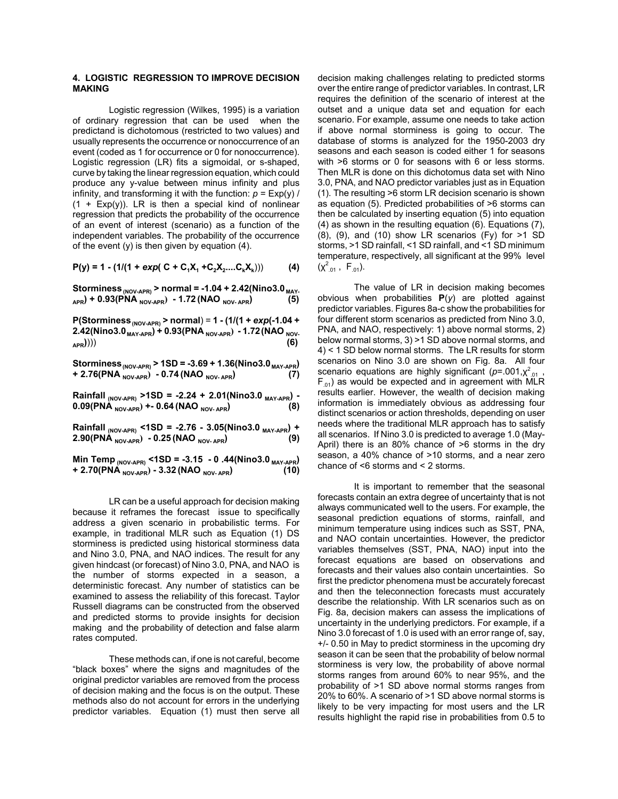# **4. LOGISTIC REGRESSION TO IMPROVE DECISION MAKING**

Logistic regression (Wilkes, 1995) is a variation of ordinary regression that can be used when the predictand is dichotomous (restricted to two values) and usually represents the occurrence or nonoccurrence of an event (coded as 1 for occurrence or 0 for nonoccurrence). Logistic regression (LR) fits a sigmoidal, or s-shaped, curve by taking the linear regression equation, which could produce any y-value between minus infinity and plus infinity, and transforming it with the function:  $p = \text{Exp}(y)$  /  $(1 + Exp(y))$ . LR is then a special kind of nonlinear regression that predicts the probability of the occurrence of an event of interest (scenario) as a function of the independent variables. The probability of the occurrence of the event  $(y)$  is then given by equation  $(4)$ .

 $P(y) = 1 - (1/(1 + exp(C + C_1X_1 + C_2X_2....C_kX_k)))$  (4)

Storminess <sub>(NOV-APR)</sub> > normal = -1.04 + 2.42 (Nino3.0 <sub>MAY-</sub> **APR) + 0.93(PNA NOV-APR) - 1.72 (NAO NOV- APR) (5)**

**P(Storminess (NOV-APR) > normal**) = **1 - (1/(1 +** *exp***(-1.04 +** 2.42(Nino3.0<sub>MAY-APR</sub>) + 0.93(PNA <sub>NOV-APR</sub>) - 1.72(NAO <sub>NOV-</sub> **APR)**))) **(6)**

**Storminess (NOV-APR) > 1SD = -3.69 + 1.36(Nino3.0 MAY-APR)**  $+ 2.76(PNA_{\text{NOV-APR}}^{100V-10V} - 0.74(NAO_{\text{NOV-APR}})$ 

**Rainfall (NOV-APR) >1SD = -2.24 + 2.01(Nino3.0 MAY-APR) - 0.09(PNA NOV-APR) +- 0.64 (NAO NOV- APR) (8)**

**Rainfall (NOV-APR) <1SD = -2.76 - 3.05(Nino3.0 MAY-APR) + 2.90(PNA NOV-APR) - 0.25 (NAO NOV- APR) (9)**

**Min Temp (NOV-APR) <1SD = -3.15 - 0 .44(Nino3.0 MAY-APR)**  $+ 2.70(PNA_{\text{NOV-APR}}) - 3.32(NAO_{\text{NOV-APR}})$ 

LR can be a useful approach for decision making because it reframes the forecast issue to specifically address a given scenario in probabilistic terms. For example, in traditional MLR such as Equation (1) DS storminess is predicted using historical storminess data and Nino 3.0, PNA, and NAO indices. The result for any given hindcast (or forecast) of Nino 3.0, PNA, and NAO is the number of storms expected in a season, a deterministic forecast. Any number of statistics can be examined to assess the reliability of this forecast. Taylor Russell diagrams can be constructed from the observed and predicted storms to provide insights for decision making and the probability of detection and false alarm rates computed.

These methods can, if one is not careful, become "black boxes" where the signs and magnitudes of the original predictor variables are removed from the process of decision making and the focus is on the output. These methods also do not account for errors in the underlying predictor variables. Equation (1) must then serve all decision making challenges relating to predicted storms over the entire range of predictor variables. In contrast, LR requires the definition of the scenario of interest at the outset and a unique data set and equation for each scenario. For example, assume one needs to take action if above normal storminess is going to occur. The database of storms is analyzed for the 1950-2003 dry seasons and each season is coded either 1 for seasons with >6 storms or 0 for seasons with 6 or less storms. Then MLR is done on this dichotomus data set with Nino 3.0, PNA, and NAO predictor variables just as in Equation (1). The resulting >6 storm LR decision scenario is shown as equation (5). Predicted probabilities of >6 storms can then be calculated by inserting equation (5) into equation (4) as shown in the resulting equation (6). Equations (7), (8), (9), and (10) show LR scenarios (Fy) for >1 SD storms, >1 SD rainfall, <1 SD rainfall, and <1 SD minimum temperature, respectively, all significant at the 99% level  $(\chi^2_{.01}, F_{.01}).$ 

The value of LR in decision making becomes obvious when probabilities **P**(*y*) are plotted against predictor variables. Figures 8a-c show the probabilities for four different storm scenarios as predicted from Nino 3.0, PNA, and NAO, respectively: 1) above normal storms, 2) below normal storms, 3) >1 SD above normal storms, and 4) < 1 SD below normal storms. The LR results for storm scenarios on Nino 3.0 are shown on Fig. 8a. All four scenario equations are highly significant (p=.001, x<sup>2</sup><sub>.01</sub>,  $F_{01}$ ) as would be expected and in agreement with MLR results earlier. However, the wealth of decision making information is immediately obvious as addressing four distinct scenarios or action thresholds, depending on user needs where the traditional MLR approach has to satisfy all scenarios. If Nino 3.0 is predicted to average 1.0 (May-April) there is an 80% chance of >6 storms in the dry season, a 40% chance of >10 storms, and a near zero chance of <6 storms and < 2 storms.

It is important to remember that the seasonal forecasts contain an extra degree of uncertainty that is not always communicated well to the users. For example, the seasonal prediction equations of storms, rainfall, and minimum temperature using indices such as SST, PNA, and NAO contain uncertainties. However, the predictor variables themselves (SST, PNA, NAO) input into the forecast equations are based on observations and forecasts and their values also contain uncertainties. So first the predictor phenomena must be accurately forecast and then the teleconnection forecasts must accurately describe the relationship. With LR scenarios such as on Fig. 8a, decision makers can assess the implications of uncertainty in the underlying predictors. For example, if a Nino 3.0 forecast of 1.0 is used with an error range of, say, +/- 0.50 in May to predict storminess in the upcoming dry season it can be seen that the probability of below normal storminess is very low, the probability of above normal storms ranges from around 60% to near 95%, and the probability of >1 SD above normal storms ranges from 20% to 60%. A scenario of >1 SD above normal storms is likely to be very impacting for most users and the LR results highlight the rapid rise in probabilities from 0.5 to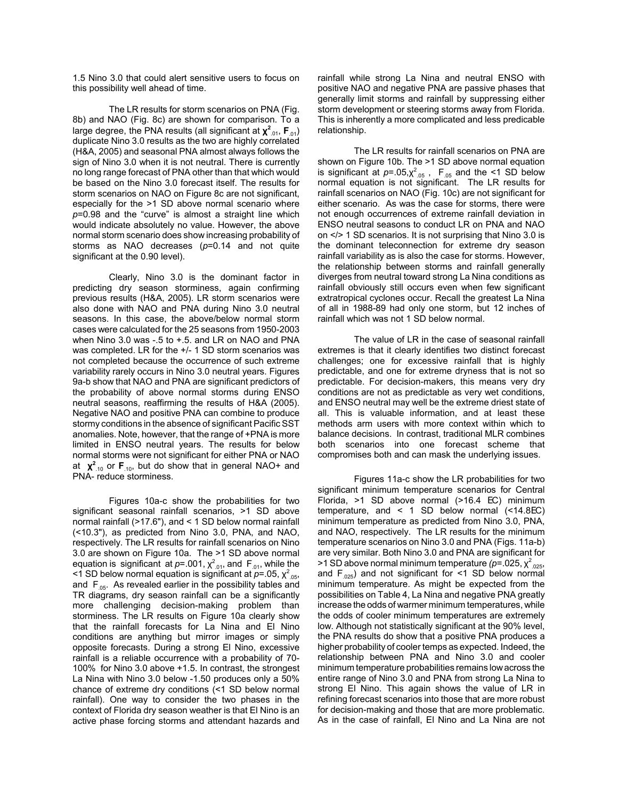1.5 Nino 3.0 that could alert sensitive users to focus on this possibility well ahead of time.

The LR results for storm scenarios on PNA (Fig. 8b) and NAO (Fig. 8c) are shown for comparison. To a large degree, the PNA results (all significant at **χ<sup>2</sup><sub>.01</sub>, F**<sub>.01</sub>) duplicate Nino 3.0 results as the two are highly correlated (H&A, 2005) and seasonal PNA almost always follows the sign of Nino 3.0 when it is not neutral. There is currently no long range forecast of PNA other than that which would be based on the Nino 3.0 forecast itself. The results for storm scenarios on NAO on Figure 8c are not significant, especially for the >1 SD above normal scenario where *p*=0.98 and the "curve" is almost a straight line which would indicate absolutely no value. However, the above normal storm scenario does show increasing probability of storms as NAO decreases (*p*=0.14 and not quite significant at the 0.90 level).

Clearly, Nino 3.0 is the dominant factor in predicting dry season storminess, again confirming previous results (H&A, 2005). LR storm scenarios were also done with NAO and PNA during Nino 3.0 neutral seasons. In this case, the above/below normal storm cases were calculated for the 25 seasons from 1950-2003 when Nino 3.0 was -.5 to +.5. and LR on NAO and PNA was completed. LR for the +/- 1 SD storm scenarios was not completed because the occurrence of such extreme variability rarely occurs in Nino 3.0 neutral years. Figures 9a-b show that NAO and PNA are significant predictors of the probability of above normal storms during ENSO neutral seasons, reaffirming the results of H&A (2005). Negative NAO and positive PNA can combine to produce stormy conditions in the absence of significant Pacific SST anomalies. Note, however, that the range of +PNA is more limited in ENSO neutral years. The results for below normal storms were not significant for either PNA or NAO at  $\chi^2$ <sub>-10</sub> or **F**<sub>-10</sub>, but do show that in general NAO+ and PNA- reduce storminess.

Figures 10a-c show the probabilities for two significant seasonal rainfall scenarios, >1 SD above normal rainfall (>17.6"), and < 1 SD below normal rainfall (<10.3"), as predicted from Nino 3.0, PNA, and NAO, respectively. The LR results for rainfall scenarios on Nino 3.0 are shown on Figure 10a. The >1 SD above normal equation is significant at  $p = 0.001$ ,  $\chi^2$ <sub>01</sub>, and F<sub>01</sub>, while the  $\leq$  1 SD below normal equation is significant at *p*=.05,  $\chi^2_{.05}$ , and  $F_{.05}$ . As revealed earlier in the possibility tables and TR diagrams, dry season rainfall can be a significantly more challenging decision-making problem than storminess. The LR results on Figure 10a clearly show that the rainfall forecasts for La Nina and El Nino conditions are anything but mirror images or simply opposite forecasts. During a strong El Nino, excessive rainfall is a reliable occurrence with a probability of 70- 100% for Nino 3.0 above +1.5. In contrast, the strongest La Nina with Nino 3.0 below -1.50 produces only a 50% chance of extreme dry conditions (<1 SD below normal rainfall). One way to consider the two phases in the context of Florida dry season weather is that El Nino is an active phase forcing storms and attendant hazards and

rainfall while strong La Nina and neutral ENSO with positive NAO and negative PNA are passive phases that generally limit storms and rainfall by suppressing either storm development or steering storms away from Florida. This is inherently a more complicated and less predicable relationship.

The LR results for rainfall scenarios on PNA are shown on Figure 10b. The >1 SD above normal equation is significant at  $p=.05,\chi^2_{.05}$ ,  $F_{.05}$  and the <1 SD below normal equation is not significant. The LR results for rainfall scenarios on NAO (Fig. 10c) are not significant for either scenario. As was the case for storms, there were not enough occurrences of extreme rainfall deviation in ENSO neutral seasons to conduct LR on PNA and NAO on </> 1 SD scenarios. It is not surprising that Nino 3.0 is the dominant teleconnection for extreme dry season rainfall variability as is also the case for storms. However, the relationship between storms and rainfall generally diverges from neutral toward strong La Nina conditions as rainfall obviously still occurs even when few significant extratropical cyclones occur. Recall the greatest La Nina of all in 1988-89 had only one storm, but 12 inches of rainfall which was not 1 SD below normal.

The value of LR in the case of seasonal rainfall extremes is that it clearly identifies two distinct forecast challenges; one for excessive rainfall that is highly predictable, and one for extreme dryness that is not so predictable. For decision-makers, this means very dry conditions are not as predictable as very wet conditions, and ENSO neutral may well be the extreme driest state of all. This is valuable information, and at least these methods arm users with more context within which to balance decisions. In contrast, traditional MLR combines both scenarios into one forecast scheme that compromises both and can mask the underlying issues.

Figures 11a-c show the LR probabilities for two significant minimum temperature scenarios for Central Florida, >1 SD above normal (>16.4 EC) minimum temperature, and < 1 SD below normal (<14.8EC) minimum temperature as predicted from Nino 3.0, PNA, and NAO, respectively. The LR results for the minimum temperature scenarios on Nino 3.0 and PNA (Figs. 11a-b) are very similar. Both Nino 3.0 and PNA are significant for >1 SD above normal minimum temperature (*p*=.025, χ<sup>2</sup><sub>.025</sub>, and  $F_{.025}$ ) and not significant for <1 SD below normal minimum temperature. As might be expected from the possibilities on Table 4, La Nina and negative PNA greatly increase the odds of warmer minimum temperatures, while the odds of cooler minimum temperatures are extremely low. Although not statistically significant at the 90% level, the PNA results do show that a positive PNA produces a higher probability of cooler temps as expected. Indeed, the relationship between PNA and Nino 3.0 and cooler minimum temperature probabilities remains low across the entire range of Nino 3.0 and PNA from strong La Nina to strong El Nino. This again shows the value of LR in refining forecast scenarios into those that are more robust for decision-making and those that are more problematic. As in the case of rainfall, El Nino and La Nina are not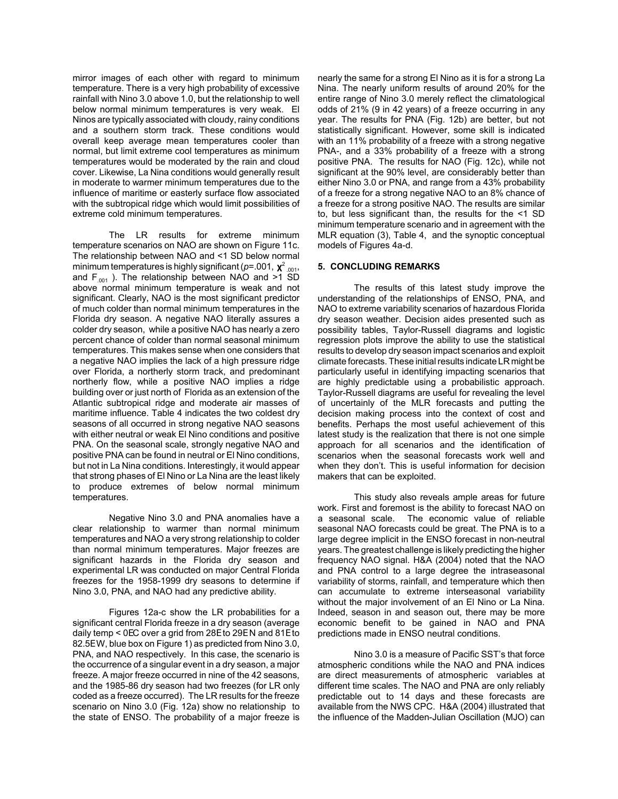mirror images of each other with regard to minimum temperature. There is a very high probability of excessive rainfall with Nino 3.0 above 1.0, but the relationship to well below normal minimum temperatures is very weak. El Ninos are typically associated with cloudy, rainy conditions and a southern storm track. These conditions would overall keep average mean temperatures cooler than normal, but limit extreme cool temperatures as minimum temperatures would be moderated by the rain and cloud cover. Likewise, La Nina conditions would generally result in moderate to warmer minimum temperatures due to the influence of maritime or easterly surface flow associated with the subtropical ridge which would limit possibilities of extreme cold minimum temperatures.

The LR results for extreme minimum temperature scenarios on NAO are shown on Figure 11c. The relationship between NAO and <1 SD below normal minimum temperatures is highly significant (*p*=.001, **χ**<sup>2</sup> .001, and  $F_{.001}$  ). The relationship between NAO and >1 SD above normal minimum temperature is weak and not significant. Clearly, NAO is the most significant predictor of much colder than normal minimum temperatures in the Florida dry season. A negative NAO literally assures a colder dry season, while a positive NAO has nearly a zero percent chance of colder than normal seasonal minimum temperatures. This makes sense when one considers that a negative NAO implies the lack of a high pressure ridge over Florida, a northerly storm track, and predominant northerly flow, while a positive NAO implies a ridge building over or just north of Florida as an extension of the Atlantic subtropical ridge and moderate air masses of maritime influence. Table 4 indicates the two coldest dry seasons of all occurred in strong negative NAO seasons with either neutral or weak El Nino conditions and positive PNA. On the seasonal scale, strongly negative NAO and positive PNA can be found in neutral or El Nino conditions, but not in La Nina conditions. Interestingly, it would appear that strong phases of El Nino or La Nina are the least likely to produce extremes of below normal minimum temperatures.

Negative Nino 3.0 and PNA anomalies have a clear relationship to warmer than normal minimum temperatures and NAO a very strong relationship to colder than normal minimum temperatures. Major freezes are significant hazards in the Florida dry season and experimental LR was conducted on major Central Florida freezes for the 1958-1999 dry seasons to determine if Nino 3.0, PNA, and NAO had any predictive ability.

Figures 12a-c show the LR probabilities for a significant central Florida freeze in a dry season (average daily temp < 0EC over a grid from 28E to 29E N and 81E to 82.5E W, blue box on Figure 1) as predicted from Nino 3.0, PNA, and NAO respectively. In this case, the scenario is the occurrence of a singular event in a dry season, a major freeze. A major freeze occurred in nine of the 42 seasons, and the 1985-86 dry season had two freezes (for LR only coded as a freeze occurred). The LR results for the freeze scenario on Nino 3.0 (Fig. 12a) show no relationship to the state of ENSO. The probability of a major freeze is

nearly the same for a strong El Nino as it is for a strong La Nina. The nearly uniform results of around 20% for the entire range of Nino 3.0 merely reflect the climatological odds of 21% (9 in 42 years) of a freeze occurring in any year. The results for PNA (Fig. 12b) are better, but not statistically significant. However, some skill is indicated with an 11% probability of a freeze with a strong negative PNA-, and a 33% probability of a freeze with a strong positive PNA. The results for NAO (Fig. 12c), while not significant at the 90% level, are considerably better than either Nino 3.0 or PNA, and range from a 43% probability of a freeze for a strong negative NAO to an 8% chance of a freeze for a strong positive NAO. The results are similar to, but less significant than, the results for the <1 SD minimum temperature scenario and in agreement with the MLR equation (3), Table 4, and the synoptic conceptual models of Figures 4a-d.

# **5. CONCLUDING REMARKS**

The results of this latest study improve the understanding of the relationships of ENSO, PNA, and NAO to extreme variability scenarios of hazardous Florida dry season weather. Decision aides presented such as possibility tables, Taylor-Russell diagrams and logistic regression plots improve the ability to use the statistical results to develop dry season impact scenarios and exploit climate forecasts. These initial results indicate LR might be particularly useful in identifying impacting scenarios that are highly predictable using a probabilistic approach. Taylor-Russell diagrams are useful for revealing the level of uncertainly of the MLR forecasts and putting the decision making process into the context of cost and benefits. Perhaps the most useful achievement of this latest study is the realization that there is not one simple approach for all scenarios and the identification of scenarios when the seasonal forecasts work well and when they don't. This is useful information for decision makers that can be exploited.

This study also reveals ample areas for future work. First and foremost is the ability to forecast NAO on a seasonal scale. The economic value of reliable seasonal NAO forecasts could be great. The PNA is to a large degree implicit in the ENSO forecast in non-neutral years. The greatest challenge is likely predicting the higher frequency NAO signal. H&A (2004) noted that the NAO and PNA control to a large degree the intraseasonal variability of storms, rainfall, and temperature which then can accumulate to extreme interseasonal variability without the major involvement of an El Nino or La Nina. Indeed, season in and season out, there may be more economic benefit to be gained in NAO and PNA predictions made in ENSO neutral conditions.

Nino 3.0 is a measure of Pacific SST's that force atmospheric conditions while the NAO and PNA indices are direct measurements of atmospheric variables at different time scales. The NAO and PNA are only reliably predictable out to 14 days and these forecasts are available from the NWS CPC. H&A (2004) illustrated that the influence of the Madden-Julian Oscillation (MJO) can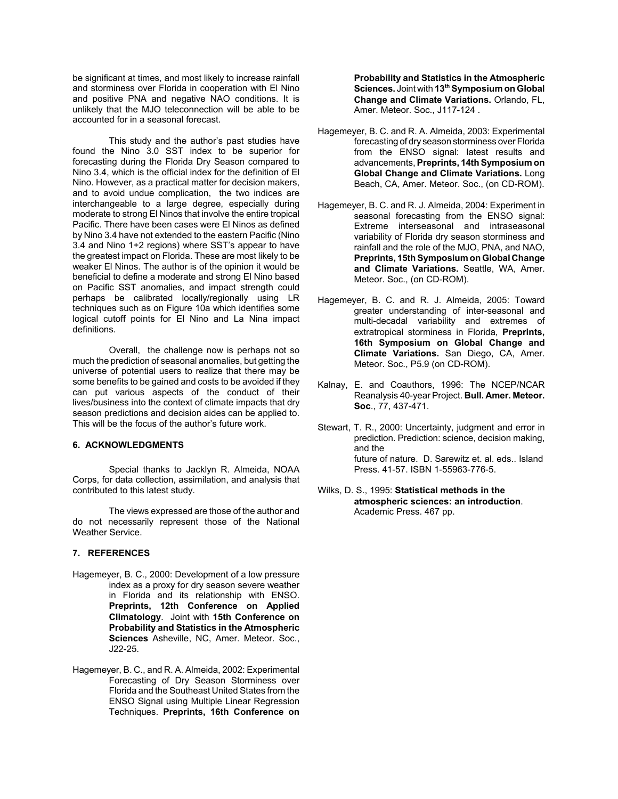be significant at times, and most likely to increase rainfall and storminess over Florida in cooperation with El Nino and positive PNA and negative NAO conditions. It is unlikely that the MJO teleconnection will be able to be accounted for in a seasonal forecast.

This study and the author's past studies have found the Nino 3.0 SST index to be superior for forecasting during the Florida Dry Season compared to Nino 3.4, which is the official index for the definition of El Nino. However, as a practical matter for decision makers, and to avoid undue complication, the two indices are interchangeable to a large degree, especially during moderate to strong El Ninos that involve the entire tropical Pacific. There have been cases were El Ninos as defined by Nino 3.4 have not extended to the eastern Pacific (Nino 3.4 and Nino 1+2 regions) where SST's appear to have the greatest impact on Florida. These are most likely to be weaker El Ninos. The author is of the opinion it would be beneficial to define a moderate and strong El Nino based on Pacific SST anomalies, and impact strength could perhaps be calibrated locally/regionally using LR techniques such as on Figure 10a which identifies some logical cutoff points for El Nino and La Nina impact definitions.

Overall, the challenge now is perhaps not so much the prediction of seasonal anomalies, but getting the universe of potential users to realize that there may be some benefits to be gained and costs to be avoided if they can put various aspects of the conduct of their lives/business into the context of climate impacts that dry season predictions and decision aides can be applied to. This will be the focus of the author's future work.

### **6. ACKNOWLEDGMENTS**

Special thanks to Jacklyn R. Almeida, NOAA Corps, for data collection, assimilation, and analysis that contributed to this latest study.

The views expressed are those of the author and do not necessarily represent those of the National Weather Service.

### **7. REFERENCES**

- Hagemeyer, B. C., 2000: Development of a low pressure index as a proxy for dry season severe weather in Florida and its relationship with ENSO. **Preprints, 12th Conference on Applied Climatology**. Joint with **15th Conference on Probability and Statistics in the Atmospheric Sciences** Asheville, NC, Amer. Meteor. Soc., J22-25.
- Hagemeyer, B. C., and R. A. Almeida, 2002: Experimental Forecasting of Dry Season Storminess over Florida and the Southeast United States from the ENSO Signal using Multiple Linear Regression Techniques. **Preprints, 16th Conference on**

**Probability and Statistics in the Atmospheric Sciences.** Joint with **13th Symposium on Global Change and Climate Variations.** Orlando, FL, Amer. Meteor. Soc., J117-124 .

- Hagemeyer, B. C. and R. A. Almeida, 2003: Experimental forecasting of dry season storminess over Florida from the ENSO signal: latest results and advancements, **Preprints, 14th Symposium on Global Change and Climate Variations.** Long Beach, CA, Amer. Meteor. Soc., (on CD-ROM).
- Hagemeyer, B. C. and R. J. Almeida, 2004: Experiment in seasonal forecasting from the ENSO signal: Extreme interseasonal and intraseasonal variability of Florida dry season storminess and rainfall and the role of the MJO, PNA, and NAO, **Preprints, 15th Symposium on Global Change and Climate Variations.** Seattle, WA, Amer. Meteor. Soc., (on CD-ROM).
- Hagemeyer, B. C. and R. J. Almeida, 2005: Toward greater understanding of inter-seasonal and multi-decadal variability and extremes of extratropical storminess in Florida, **Preprints, 16th Symposium on Global Change and Climate Variations.** San Diego, CA, Amer. Meteor. Soc., P5.9 (on CD-ROM).
- Kalnay, E. and Coauthors, 1996: The NCEP/NCAR Reanalysis 40-year Project. **Bull. Amer. Meteor. Soc**., 77, 437-471.
- Stewart, T. R., 2000: Uncertainty, judgment and error in prediction. Prediction: science, decision making, and the future of nature. D. Sarewitz et. al. eds.. Island Press. 41-57. ISBN 1-55963-776-5.
- Wilks, D. S., 1995: **Statistical methods in the atmospheric sciences: an introduction**. Academic Press. 467 pp.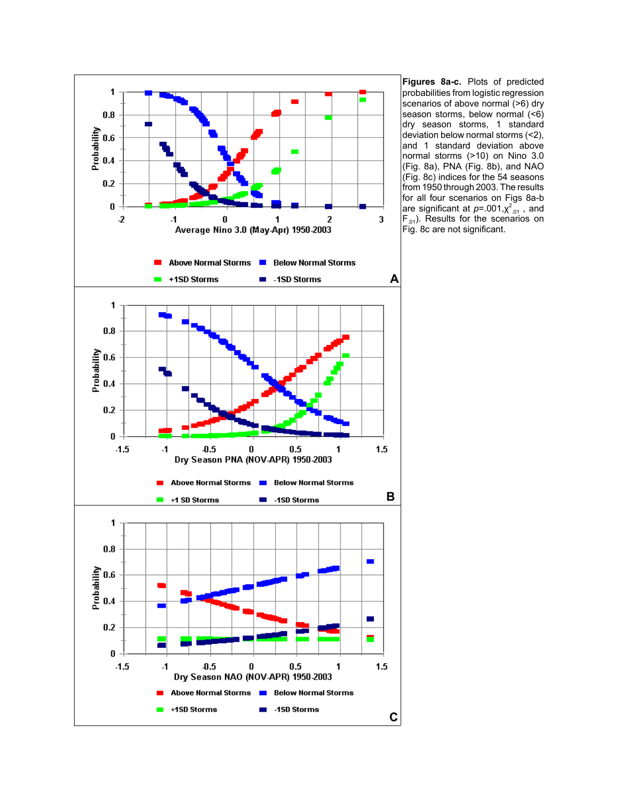

**Figures 8a-c.** Plots of predicted probabilities from logistic regression scenarios of above normal (>6) dry season storms, below normal (<6) dry season storms, 1 standard deviation below normal storms (<2), and 1 standard deviation above normal storms (>10) on Nino 3.0 (Fig. 8a), PNA (Fig. 8b), and NAO (Fig. 8c) indices for the 54 seasons from 1950 through 2003. The results for all four scenarios on Figs 8a-b are significant at *p*=.001, $\chi^2_{.01}$  , and  $F_{.01}$ ). Results for the scenarios on Fig. 8c are not significant.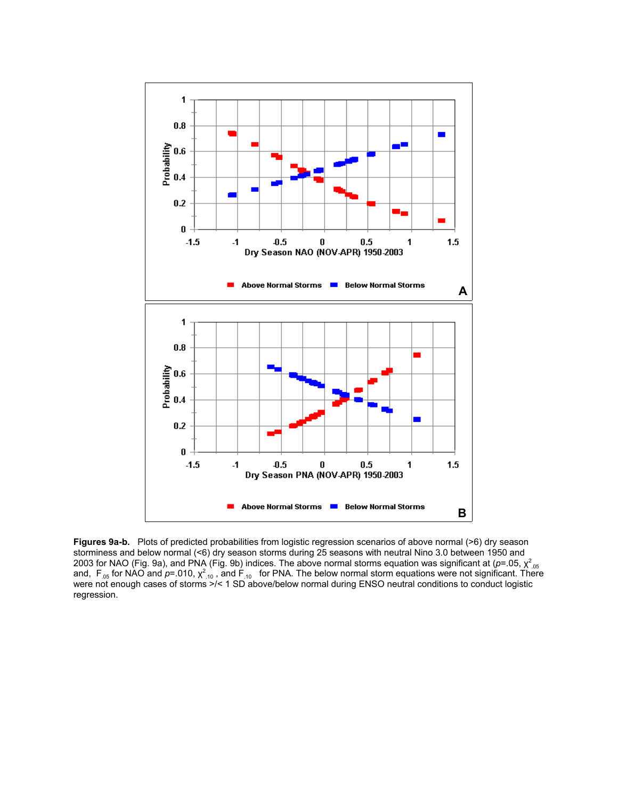

**Figures 9a-b.** Plots of predicted probabilities from logistic regression scenarios of above normal (>6) dry season storminess and below normal (<6) dry season storms during 25 seasons with neutral Nino 3.0 between 1950 and 2003 for NAO (Fig. 9a), and PNA (Fig. 9b) indices. The above normal storms equation was significant at (*p*=.05,  $\chi^2_{.05}$ <br>and, F<sub>.05</sub> for NAO and *p*=.010,  $\chi^2_{.10}$  , and F<sub>.10</sub> for PNA. The below normal storm equati were not enough cases of storms >/< 1 SD above/below normal during ENSO neutral conditions to conduct logistic regression.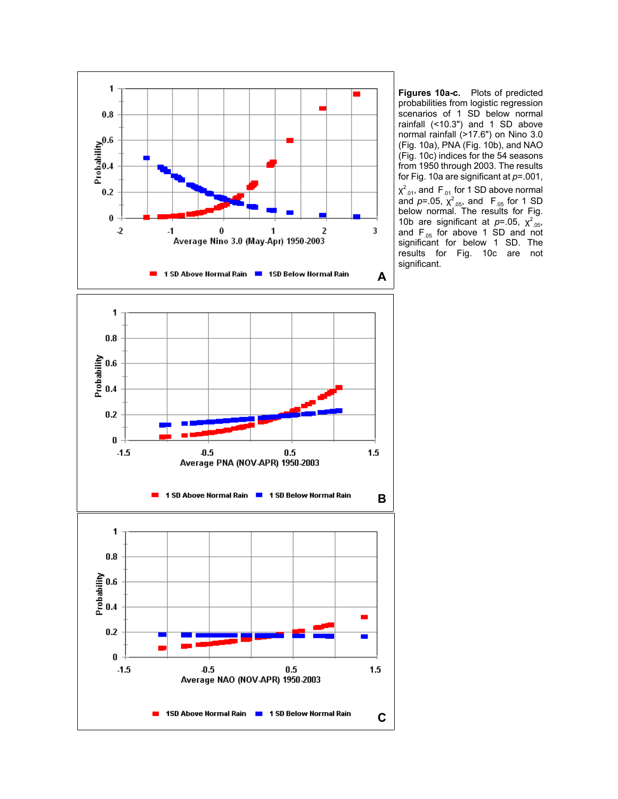

**Figures 10a-c.** Plots of predicted probabilities from logistic regression scenarios of 1 SD below normal rainfall (<10.3") and 1 SD above normal rainfall (>17.6") on Nino 3.0 (Fig. 10a), PNA (Fig. 10b), and NAO (Fig. 10c) indices for the 54 seasons from 1950 through 2003. The results for Fig. 10a are significant at *p*=.001,  $\chi^2$ <sub>.01</sub>, and F<sub>.01</sub> for 1 SD above normal and  $p = .05$ ,  $\chi^2$ <sub>.05</sub>, and  $F_{.05}$  for 1 SD below normal. The results for Fig. 10b are significant at  $p = .05$ ,  $\chi^2_{.05}$ , and  $F_{.05}$  for above 1 SD and not significant for below 1 SD. The results for Fig. 10c are not significant.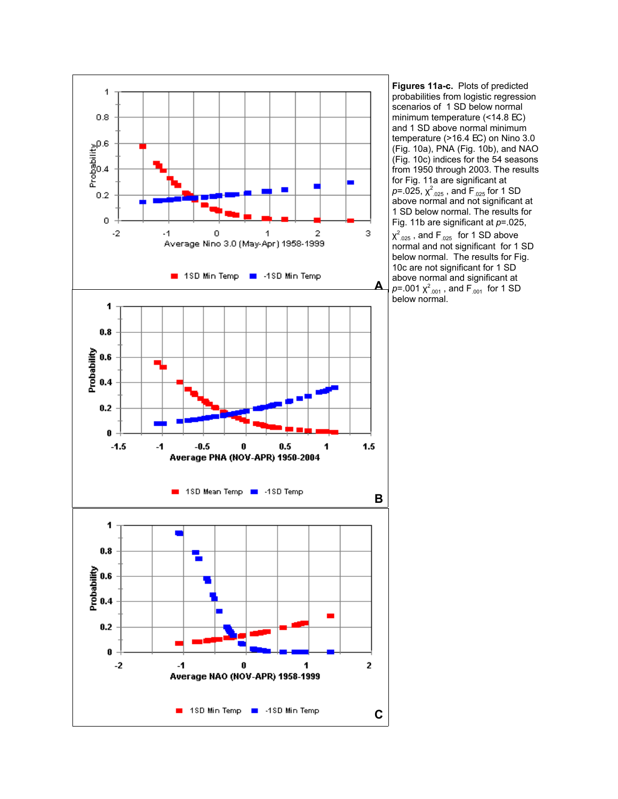

**Figures 11a-c.** Plots of predicted probabilities from logistic regression scenarios of 1 SD below normal minimum temperature (<14.8 EC) and 1 SD above normal minimum temperature (>16.4 EC) on Nino 3.0 (Fig. 10a), PNA (Fig. 10b), and NAO (Fig. 10c) indices for the 54 seasons from 1950 through 2003. The results for Fig. 11a are significant at  $p$ =.025,  $\chi^2$ <sub>.025</sub> , and F<sub>.025</sub> for 1 SD above normal and not significant at 1 SD below normal. The results for Fig. 11b are significant at *p*=.025,  $\chi^2_{.025}$  , and F $_{.025}$  for 1 SD above normal and not significant for 1 SD below normal. The results for Fig. 10c are not significant for 1 SD above normal and significant at  $p$ =.001  $\chi^2$ <sub>.001</sub> , and F<sub>.001</sub> for 1 SD below normal.